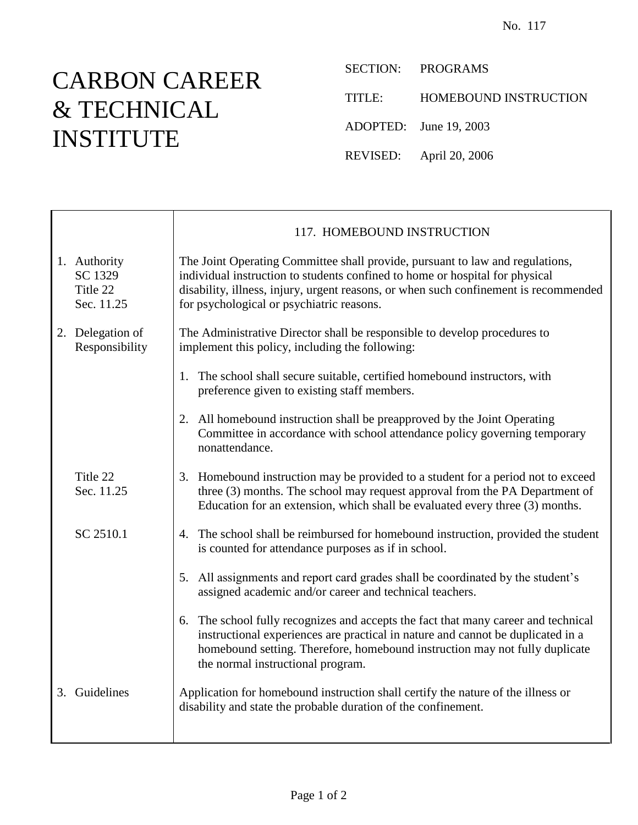## CARBON CAREER & TECHNICAL INSTITUTE

T

SECTION: PROGRAMS

TITLE: HOMEBOUND INSTRUCTION

ADOPTED: June 19, 2003

REVISED: April 20, 2006

|                                                   | 117. HOMEBOUND INSTRUCTION                                                                                                                                                                                                                                                                         |
|---------------------------------------------------|----------------------------------------------------------------------------------------------------------------------------------------------------------------------------------------------------------------------------------------------------------------------------------------------------|
| 1. Authority<br>SC 1329<br>Title 22<br>Sec. 11.25 | The Joint Operating Committee shall provide, pursuant to law and regulations,<br>individual instruction to students confined to home or hospital for physical<br>disability, illness, injury, urgent reasons, or when such confinement is recommended<br>for psychological or psychiatric reasons. |
| 2. Delegation of<br>Responsibility                | The Administrative Director shall be responsible to develop procedures to<br>implement this policy, including the following:                                                                                                                                                                       |
|                                                   | 1. The school shall secure suitable, certified homebound instructors, with<br>preference given to existing staff members.                                                                                                                                                                          |
|                                                   | 2. All homebound instruction shall be preapproved by the Joint Operating<br>Committee in accordance with school attendance policy governing temporary<br>nonattendance.                                                                                                                            |
| Title 22<br>Sec. 11.25                            | 3. Homebound instruction may be provided to a student for a period not to exceed<br>three (3) months. The school may request approval from the PA Department of<br>Education for an extension, which shall be evaluated every three (3) months.                                                    |
| SC 2510.1                                         | 4. The school shall be reimbursed for homebound instruction, provided the student<br>is counted for attendance purposes as if in school.                                                                                                                                                           |
|                                                   | 5. All assignments and report card grades shall be coordinated by the student's<br>assigned academic and/or career and technical teachers.                                                                                                                                                         |
|                                                   | 6. The school fully recognizes and accepts the fact that many career and technical<br>instructional experiences are practical in nature and cannot be duplicated in a<br>homebound setting. Therefore, homebound instruction may not fully duplicate<br>the normal instructional program.          |
| 3. Guidelines                                     | Application for homebound instruction shall certify the nature of the illness or<br>disability and state the probable duration of the confinement.                                                                                                                                                 |